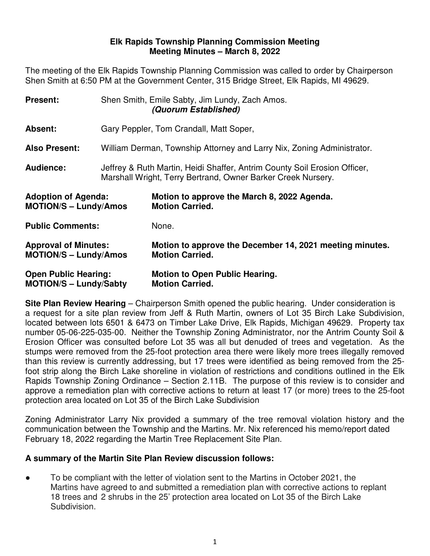#### **Elk Rapids Township Planning Commission Meeting Meeting Minutes – March 8, 2022**

The meeting of the Elk Rapids Township Planning Commission was called to order by Chairperson Shen Smith at 6:50 PM at the Government Center, 315 Bridge Street, Elk Rapids, MI 49629.

| <b>Present:</b>                                              |                                                                                                                                           | Shen Smith, Emile Sabty, Jim Lundy, Zach Amos.<br>(Quorum Established)             |
|--------------------------------------------------------------|-------------------------------------------------------------------------------------------------------------------------------------------|------------------------------------------------------------------------------------|
| Absent:                                                      | Gary Peppler, Tom Crandall, Matt Soper,                                                                                                   |                                                                                    |
| <b>Also Present:</b>                                         | William Derman, Township Attorney and Larry Nix, Zoning Administrator.                                                                    |                                                                                    |
| <b>Audience:</b>                                             | Jeffrey & Ruth Martin, Heidi Shaffer, Antrim County Soil Erosion Officer,<br>Marshall Wright, Terry Bertrand, Owner Barker Creek Nursery. |                                                                                    |
| <b>Adoption of Agenda:</b><br><b>MOTION/S - Lundy/Amos</b>   |                                                                                                                                           | Motion to approve the March 8, 2022 Agenda.<br><b>Motion Carried.</b>              |
| <b>Public Comments:</b>                                      |                                                                                                                                           | None.                                                                              |
| <b>Approval of Minutes:</b><br><b>MOTION/S – Lundy/Amos</b>  |                                                                                                                                           | Motion to approve the December 14, 2021 meeting minutes.<br><b>Motion Carried.</b> |
| <b>Open Public Hearing:</b><br><b>MOTION/S - Lundy/Sabty</b> |                                                                                                                                           | <b>Motion to Open Public Hearing.</b><br><b>Motion Carried.</b>                    |

**Site Plan Review Hearing** – Chairperson Smith opened the public hearing. Under consideration is a request for a site plan review from Jeff & Ruth Martin, owners of Lot 35 Birch Lake Subdivision, located between lots 6501 & 6473 on Timber Lake Drive, Elk Rapids, Michigan 49629. Property tax number 05-06-225-035-00. Neither the Township Zoning Administrator, nor the Antrim County Soil & Erosion Officer was consulted before Lot 35 was all but denuded of trees and vegetation. As the stumps were removed from the 25-foot protection area there were likely more trees illegally removed than this review is currently addressing, but 17 trees were identified as being removed from the 25 foot strip along the Birch Lake shoreline in violation of restrictions and conditions outlined in the Elk Rapids Township Zoning Ordinance – Section 2.11B. The purpose of this review is to consider and approve a remediation plan with corrective actions to return at least 17 (or more) trees to the 25-foot protection area located on Lot 35 of the Birch Lake Subdivision

Zoning Administrator Larry Nix provided a summary of the tree removal violation history and the communication between the Township and the Martins. Mr. Nix referenced his memo/report dated February 18, 2022 regarding the Martin Tree Replacement Site Plan.

## **A summary of the Martin Site Plan Review discussion follows:**

To be compliant with the letter of violation sent to the Martins in October 2021, the Martins have agreed to and submitted a remediation plan with corrective actions to replant 18 trees and 2 shrubs in the 25' protection area located on Lot 35 of the Birch Lake Subdivision.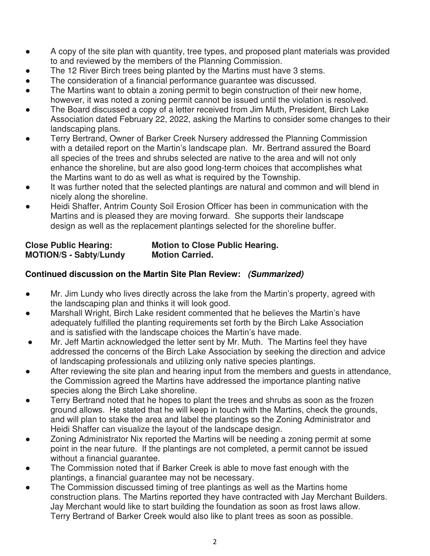- A copy of the site plan with quantity, tree types, and proposed plant materials was provided to and reviewed by the members of the Planning Commission.
- The 12 River Birch trees being planted by the Martins must have 3 stems.
- The consideration of a financial performance guarantee was discussed.
- The Martins want to obtain a zoning permit to begin construction of their new home, however, it was noted a zoning permit cannot be issued until the violation is resolved.
- The Board discussed a copy of a letter received from Jim Muth, President, Birch Lake Association dated February 22, 2022, asking the Martins to consider some changes to their landscaping plans.
- Terry Bertrand, Owner of Barker Creek Nursery addressed the Planning Commission with a detailed report on the Martin's landscape plan. Mr. Bertrand assured the Board all species of the trees and shrubs selected are native to the area and will not only enhance the shoreline, but are also good long-term choices that accomplishes what the Martins want to do as well as what is required by the Township.
- It was further noted that the selected plantings are natural and common and will blend in nicely along the shoreline.
- Heidi Shaffer, Antrim County Soil Erosion Officer has been in communication with the Martins and is pleased they are moving forward. She supports their landscape design as well as the replacement plantings selected for the shoreline buffer.

| <b>Close Public Hearing:</b>  | <b>Motion to Close Public Hearing.</b> |
|-------------------------------|----------------------------------------|
| <b>MOTION/S - Sabty/Lundy</b> | <b>Motion Carried.</b>                 |

# **Continued discussion on the Martin Site Plan Review: (Summarized)**

- Mr. Jim Lundy who lives directly across the lake from the Martin's property, agreed with the landscaping plan and thinks it will look good.
- Marshall Wright, Birch Lake resident commented that he believes the Martin's have adequately fulfilled the planting requirements set forth by the Birch Lake Association and is satisfied with the landscape choices the Martin's have made.
- Mr. Jeff Martin acknowledged the letter sent by Mr. Muth. The Martins feel they have addressed the concerns of the Birch Lake Association by seeking the direction and advice of landscaping professionals and utilizing only native species plantings.
- After reviewing the site plan and hearing input from the members and guests in attendance, the Commission agreed the Martins have addressed the importance planting native species along the Birch Lake shoreline.
- Terry Bertrand noted that he hopes to plant the trees and shrubs as soon as the frozen ground allows. He stated that he will keep in touch with the Martins, check the grounds, and will plan to stake the area and label the plantings so the Zoning Administrator and Heidi Shaffer can visualize the layout of the landscape design.
- Zoning Administrator Nix reported the Martins will be needing a zoning permit at some point in the near future. If the plantings are not completed, a permit cannot be issued without a financial guarantee.
- The Commission noted that if Barker Creek is able to move fast enough with the plantings, a financial guarantee may not be necessary.
- The Commission discussed timing of tree plantings as well as the Martins home construction plans. The Martins reported they have contracted with Jay Merchant Builders. Jay Merchant would like to start building the foundation as soon as frost laws allow. Terry Bertrand of Barker Creek would also like to plant trees as soon as possible.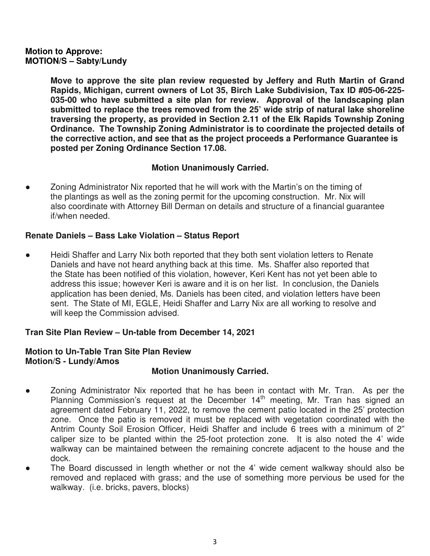## **Motion to Approve: MOTION/S – Sabty/Lundy**

**Move to approve the site plan review requested by Jeffery and Ruth Martin of Grand Rapids, Michigan, current owners of Lot 35, Birch Lake Subdivision, Tax ID #05-06-225- 035-00 who have submitted a site plan for review. Approval of the landscaping plan submitted to replace the trees removed from the 25' wide strip of natural lake shoreline traversing the property, as provided in Section 2.11 of the Elk Rapids Township Zoning Ordinance. The Township Zoning Administrator is to coordinate the projected details of the corrective action, and see that as the project proceeds a Performance Guarantee is posted per Zoning Ordinance Section 17.08.** 

# **Motion Unanimously Carried.**

Zoning Administrator Nix reported that he will work with the Martin's on the timing of the plantings as well as the zoning permit for the upcoming construction. Mr. Nix will also coordinate with Attorney Bill Derman on details and structure of a financial guarantee if/when needed.

# **Renate Daniels – Bass Lake Violation – Status Report**

● Heidi Shaffer and Larry Nix both reported that they both sent violation letters to Renate Daniels and have not heard anything back at this time. Ms. Shaffer also reported that the State has been notified of this violation, however, Keri Kent has not yet been able to address this issue; however Keri is aware and it is on her list. In conclusion, the Daniels application has been denied, Ms. Daniels has been cited, and violation letters have been sent. The State of MI, EGLE, Heidi Shaffer and Larry Nix are all working to resolve and will keep the Commission advised.

# **Tran Site Plan Review – Un-table from December 14, 2021**

# **Motion to Un-Table Tran Site Plan Review Motion/S - Lundy/Amos**

## **Motion Unanimously Carried.**

- Zoning Administrator Nix reported that he has been in contact with Mr. Tran. As per the Planning Commission's request at the December 14<sup>th</sup> meeting, Mr. Tran has signed an agreement dated February 11, 2022, to remove the cement patio located in the 25' protection zone. Once the patio is removed it must be replaced with vegetation coordinated with the Antrim County Soil Erosion Officer, Heidi Shaffer and include 6 trees with a minimum of 2" caliper size to be planted within the 25-foot protection zone. It is also noted the 4' wide walkway can be maintained between the remaining concrete adjacent to the house and the dock.
- The Board discussed in length whether or not the 4' wide cement walkway should also be removed and replaced with grass; and the use of something more pervious be used for the walkway. (i.e. bricks, pavers, blocks)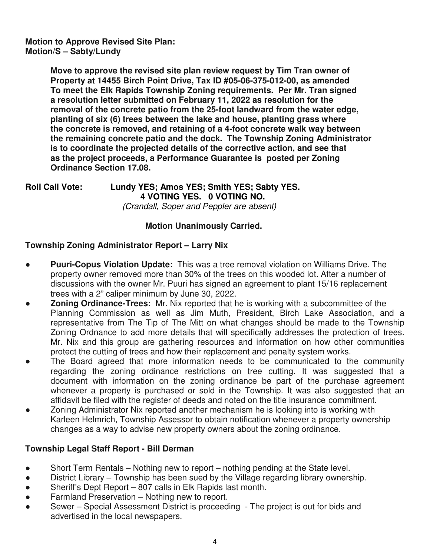## **Motion to Approve Revised Site Plan: Motion/S – Sabty/Lundy**

 **Move to approve the revised site plan review request by Tim Tran owner of Property at 14455 Birch Point Drive, Tax ID #05-06-375-012-00, as amended To meet the Elk Rapids Township Zoning requirements. Per Mr. Tran signed a resolution letter submitted on February 11, 2022 as resolution for the removal of the concrete patio from the 25-foot landward from the water edge, planting of six (6) trees between the lake and house, planting grass where the concrete is removed, and retaining of a 4-foot concrete walk way between the remaining concrete patio and the dock. The Township Zoning Administrator is to coordinate the projected details of the corrective action, and see that as the project proceeds, a Performance Guarantee is posted per Zoning Ordinance Section 17.08.** 

#### **Roll Call Vote: Lundy YES; Amos YES; Smith YES; Sabty YES. 4 VOTING YES. 0 VOTING NO.**  (Crandall, Soper and Peppler are absent)

# **Motion Unanimously Carried.**

# **Township Zoning Administrator Report – Larry Nix**

- **Puuri-Copus Violation Update:** This was a tree removal violation on Williams Drive. The property owner removed more than 30% of the trees on this wooded lot. After a number of discussions with the owner Mr. Puuri has signed an agreement to plant 15/16 replacement trees with a 2" caliper minimum by June 30, 2022.
- **Zoning Ordinance-Trees:** Mr. Nix reported that he is working with a subcommittee of the Planning Commission as well as Jim Muth, President, Birch Lake Association, and a representative from The Tip of The Mitt on what changes should be made to the Township Zoning Ordnance to add more details that will specifically addresses the protection of trees. Mr. Nix and this group are gathering resources and information on how other communities protect the cutting of trees and how their replacement and penalty system works.
- The Board agreed that more information needs to be communicated to the community regarding the zoning ordinance restrictions on tree cutting. It was suggested that a document with information on the zoning ordinance be part of the purchase agreement whenever a property is purchased or sold in the Township. It was also suggested that an affidavit be filed with the register of deeds and noted on the title insurance commitment.
- Zoning Administrator Nix reported another mechanism he is looking into is working with Karleen Helmrich, Township Assessor to obtain notification whenever a property ownership changes as a way to advise new property owners about the zoning ordinance.

# **Township Legal Staff Report - Bill Derman**

- Short Term Rentals Nothing new to report nothing pending at the State level.
- District Library Township has been sued by the Village regarding library ownership.
- Sheriff's Dept Report 807 calls in Elk Rapids last month.
- Farmland Preservation Nothing new to report.
- Sewer Special Assessment District is proceeding The project is out for bids and advertised in the local newspapers.